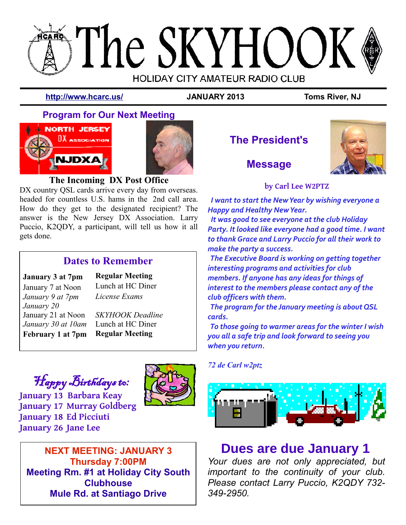# **SThe SKYHOOK HOLIDAY CITY AMATEUR RADIO CLUB**

**<http://www.hcarc.us/> JANUARY 2013 Toms River, NJ**

# **Program for Our Next Meeting**





## **The Incoming DX Post Office**

DX country QSL cards arrive every day from overseas. headed for countless U.S. hams in the 2nd call area. How do they get to the designated recipient? The answer is the New Jersey DX Association. Larry Puccio, K2QDY, a participant, will tell us how it all gets done.

# **Dates to Remember**

## **January 3 at 7pm Regular Meeting**

January 7 at Noon Lunch at HC Diner

*January 9 at 7pm License Exams January 20* January 21 at Noon *January 30 at 10am*

*SKYHOOK Deadline* Lunch at HC Diner **February 1 at 7pm Regular Meeting**

# Happy Birthdays to:

**January 13 Barbara Keay January 17 Murray Goldberg January 18 Ed Picciuti January 26 Jane Lee**



**NEXT MEETING: JANUARY 3 Thursday 7:00PM Meeting Rm. #1 at Holiday City South Clubhouse Mule Rd. at Santiago Drive**

**The President's**



# **Message**

**by Carl Lee W2PTZ**

 *I want to start the New Year by wishing everyone a Happy and Healthy New Year.*

 *It was good to see everyone at the club Holiday Party. It looked like everyone had a good time. I want to thank Grace and Larry Puccio for all their work to make the party a success.*

 *The Executive Board is working on getting together interesting programs and activities for club members. If anyone has any ideas for things of interest to the members please contact any of the club officers with them.* 

 *The program for the January meeting is about QSL cards.* 

 *To those going to warmer areas for the winter I wish you all a safe trip and look forward to seeing you when you return.*

*72 de Carl w2ptz*



# **Dues are due January 1**

*Your dues are not only appreciated, but important to the continuity of your club. Please contact Larry Puccio, K2QDY 732- 349-2950.*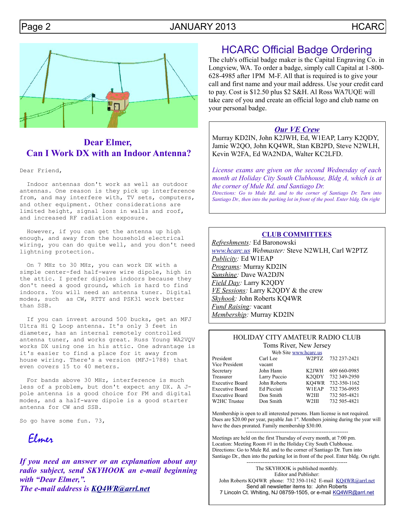

## **Dear Elmer, Can I Work DX with an Indoor Antenna?**

Dear Friend,

 Indoor antennas don't work as well as outdoor antennas. One reason is they pick up interference from, and may interfere with, TV sets, computers, and other equipment. Other considerations are limited height, signal loss in walls and roof, and increased RF radiation exposure.

 However, if you can get the antenna up high enough, and away from the household electrical wiring, you can do quite well, and you don't need lightning protection.

 On 7 MHz to 30 MHz, you can work DX with a simple center-fed half-wave wire dipole, high in the attic. I prefer dipoles indoors because they don't need a good ground, which is hard to find indoors. You will need an antenna tuner. Digital modes, such as CW, RTTY and PSK31 work better than SSB.

 If you can invest around 500 bucks, get an MFJ Ultra Hi Q Loop antenna. It's only 3 feet in diameter, has an internal remotely controlled antenna tuner, and works great. Russ Young WA2VQV works DX using one in his attic. One advantage is it's easier to find a place for it away from house wiring. There's a version (MFJ-1788) that even covers 15 to 40 meters.

 For bands above 30 MHz, interference is much less of a problem, but don't expect any DX. A Jpole antenna is a good choice for FM and digital modes, and a half-wave dipole is a good starter antenna for CW and SSB.

So go have some fun. 73,

Elmer

*If you need an answer or an explanation about any radio subject, send SKYHOOK an e-mail beginning with "Dear Elmer,". The e-mail address is [KQ4WR@arrl.net](mailto:KQ4WR@arrl.net.?subject=Dear%20Elmer)*

# HCARC Official Badge Ordering

The club's official badge maker is the Capital Engraving Co. in Longview, WA. To order a badge, simply call Capital at 1-800- 628-4985 after 1PM M-F. All that is required is to give your call and first name and your mail address. Use your credit card to pay. Cost is \$12.50 plus \$2 S&H. Al Ross WA7UQE will take care of you and create an official logo and club name on your personal badge.

#### *Our VE Crew*

Murray KD2IN, John K2JWH, Ed, W1EAP, Larry K2QDY, Jamie W2QO, John KQ4WR, Stan KB2PD, Steve N2WLH, Kevin W2FA, Ed WA2NDA, Walter KC2LFD.

*License exams are given on the second Wednesday of each month at Holiday City South Clubhouse, Bldg A, which is at the corner of Mule Rd. and Santiago Dr. Directions: Go to Mule Rd. and to the corner of Santiago Dr. Turn into*

*Santiago Dr., then into the parking lot in front of the pool. Enter bldg. On right*

#### **CLUB COMMITTEES**

*Refreshments:* Ed Baronowski *[www.hcarc.us](http://www.hcarc.us/) Webmaster:* Steve N2WLH, Carl W2PTZ *Publicity:* Ed W1EAP *Programs:* Murray KD2IN *Sunshine:* Dave WA2DJN *Field Day:* Larry K2QDY *VE Sessions:* Larry K2QDY & the crew *Skyhook:* John Roberts KQ4WR *Fund Raising:* vacant *Membership:* Murray KD2IN

#### HOLIDAY CITY AMATEUR RADIO CLUB Toms River, New Jersey

|                        | Web Site www.hcarc.us |                    |                    |
|------------------------|-----------------------|--------------------|--------------------|
| President              | Carl Lee              |                    | W2PTZ 732 237-2421 |
| Vice President         | vacant                |                    |                    |
| Secretary              | John Hann             | K2JWH              | 609 660 - 0985     |
| Treasurer              | Larry Puccio          | K <sub>2</sub> ODY | 732 349-2950       |
| <b>Executive Board</b> | John Roberts          | KO4WR              | 732-350-1162       |
| Executive Board        | Ed Picciuti           | W1EAP              | 732 736-0955       |
| <b>Executive Board</b> | Don Smith             | W2III              | 732 505-4821       |
| W2HC Trustee           | Don Smith             | W2III              | 732 505-4821       |

Membership is open to all interested persons. Ham license is not required. Dues are \$20.00 per year, payable Jan 1<sup>st</sup>. Members joining during the year will have the dues prorated. Family membership \$30.00.

---------------------------------------------------------- Meetings are held on the first Thursday of every month, at 7:00 pm. Location: Meeting Room #1 in the Holiday City South Clubhouse. Directions: Go to Mule Rd. and to the corner of Santiago Dr. Turn into Santiago Dr., then into the parking lot in front of the pool. Enter bldg. On right.

--------------------------------------------------------- The SKYHOOK is published monthly. Editor and Publisher: John Roberts KQ4WR phone: 732 350-1162 E-mail [KQ4WR@arrl.net](mailto:KQ4WR@arrl.net) Send all newsletter items to: John Roberts 7 Lincoln Ct. Whiting, NJ 08759-1505, or e-mail [KQ4WR@arrl.net](mailto:KQ4WR@arrl.net)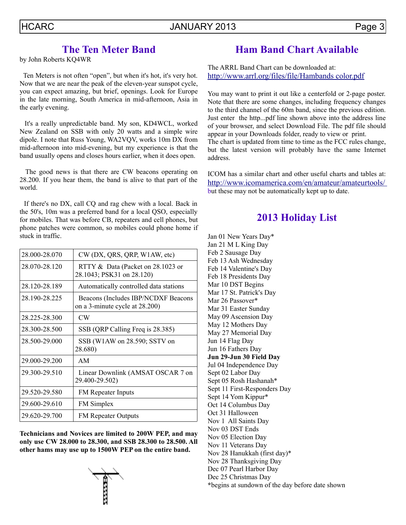# **The Ten Meter Band**

by John Roberts KQ4WR

 Ten Meters is not often "open", but when it's hot, it's very hot. Now that we are near the peak of the eleven-year sunspot cycle, you can expect amazing, but brief, openings. Look for Europe in the late morning, South America in mid-afternoon, Asia in the early evening.

 It's a really unpredictable band. My son, KD4WCL, worked New Zealand on SSB with only 20 watts and a simple wire dipole. I note that Russ Young, WA2VQV, works 10m DX from mid-afternoon into mid-evening, but my experience is that the band usually opens and closes hours earlier, when it does open.

 The good news is that there are CW beacons operating on 28.200. If you hear them, the band is alive to that part of the world.

 If there's no DX, call CQ and rag chew with a local. Back in the 50's, 10m was a preferred band for a local QSO, especially for mobiles. That was before CB, repeaters and cell phones, but phone patches were common, so mobiles could phone home if stuck in traffic.

| 28.000-28.070 | CW (DX, QRS, QRP, W1AW, etc)                                          |  |
|---------------|-----------------------------------------------------------------------|--|
| 28.070-28.120 | RTTY & Data (Packet on 28.1023 or<br>28.1043; PSK31 on 28.120)        |  |
| 28.120-28.189 | Automatically controlled data stations                                |  |
| 28.190-28.225 | Beacons (Includes IBP/NCDXF Beacons<br>on a 3-minute cycle at 28.200) |  |
| 28.225-28.300 | CW                                                                    |  |
| 28.300-28.500 | SSB (QRP Calling Freq is 28.385)                                      |  |
| 28.500-29.000 | SSB (W1AW on 28.590; SSTV on<br>28.680)                               |  |
| 29.000-29.200 | AM                                                                    |  |
| 29.300-29.510 | Linear Downlink (AMSAT OSCAR 7 on<br>29.400-29.502)                   |  |
| 29.520-29.580 | FM Repeater Inputs                                                    |  |
| 29.600-29.610 | <b>FM</b> Simplex                                                     |  |
| 29.620-29.700 | <b>FM Repeater Outputs</b>                                            |  |

**Technicians and Novices are limited to 200W PEP, and may only use CW 28.000 to 28.300, and SSB 28.300 to 28.500. All other hams may use up to 1500W PEP on the entire band.**



# **Ham Band Chart Available**

The ARRL Band Chart can be downloaded at: [http://www.arrl.org/files/file/Hambands color.pdf](http://www.arrl.org/files/file/Hambands%20color.pdf)

You may want to print it out like a centerfold or 2-page poster. Note that there are some changes, including frequency changes to the third channel of the 60m band, since the previous edition. Just enter the http...pdf line shown above into the address line of your browser, and select Download File. The pdf file should appear in your Downloads folder, ready to view or print. The chart is updated from time to time as the FCC rules change, but the latest version will probably have the same Internet address.

ICOM has a similar chart and other useful charts and tables at: <http://www.icomamerica.com/en/amateur/amateurtools/> but these may not be automatically kept up to date.

# **2013 Holiday List**

Jan 01 New Years Day\* Jan 21 M L King Day Feb 2 Sausage Day Feb 13 Ash Wednesday Feb 14 Valentine's Day Feb 18 Presidents Day Mar 10 DST Begins Mar 17 St. Patrick's Day Mar 26 Passover\* Mar 31 Easter Sunday May 09 Ascension Day May 12 Mothers Day May 27 Memorial Day Jun 14 Flag Day Jun 16 Fathers Day **Jun 29-Jun 30 Field Day** Jul 04 Independence Day Sept 02 Labor Day Sept 05 Rosh Hashanah\* Sept 11 First-Responders Day Sept 14 Yom Kippur\* Oct 14 Columbus Day Oct 31 Halloween Nov 1 All Saints Day Nov 03 DST Ends Nov 05 Election Day Nov 11 Veterans Day Nov 28 Hanukkah (first day)\* Nov 28 Thanksgiving Day Dec 07 Pearl Harbor Day Dec 25 Christmas Day

**\***begins at sundown of the day before date shown